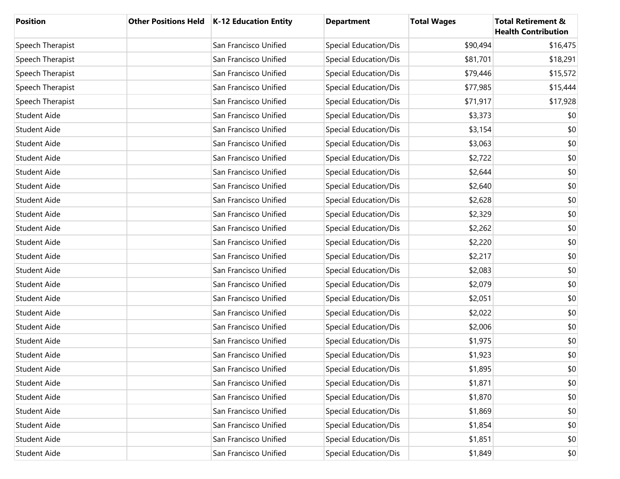| <b>Position</b>     | Other Positions Held   K-12 Education Entity | <b>Department</b>     | <b>Total Wages</b> | <b>Total Retirement &amp;</b><br><b>Health Contribution</b> |
|---------------------|----------------------------------------------|-----------------------|--------------------|-------------------------------------------------------------|
| Speech Therapist    | San Francisco Unified                        | Special Education/Dis | \$90,494           | \$16,475                                                    |
| Speech Therapist    | San Francisco Unified                        | Special Education/Dis | \$81,701           | \$18,291                                                    |
| Speech Therapist    | San Francisco Unified                        | Special Education/Dis | \$79,446           | \$15,572                                                    |
| Speech Therapist    | San Francisco Unified                        | Special Education/Dis | \$77,985           | \$15,444                                                    |
| Speech Therapist    | San Francisco Unified                        | Special Education/Dis | \$71,917           | \$17,928                                                    |
| Student Aide        | San Francisco Unified                        | Special Education/Dis | \$3,373            | \$0                                                         |
| Student Aide        | San Francisco Unified                        | Special Education/Dis | \$3,154            | \$0                                                         |
| <b>Student Aide</b> | San Francisco Unified                        | Special Education/Dis | \$3,063            | \$0                                                         |
| Student Aide        | San Francisco Unified                        | Special Education/Dis | \$2,722            | \$0                                                         |
| <b>Student Aide</b> | San Francisco Unified                        | Special Education/Dis | \$2,644            | \$0                                                         |
| Student Aide        | San Francisco Unified                        | Special Education/Dis | \$2,640            | \$0                                                         |
| Student Aide        | San Francisco Unified                        | Special Education/Dis | \$2,628            | \$0                                                         |
| Student Aide        | San Francisco Unified                        | Special Education/Dis | \$2,329            | \$0                                                         |
| Student Aide        | San Francisco Unified                        | Special Education/Dis | \$2,262            | \$0                                                         |
| Student Aide        | San Francisco Unified                        | Special Education/Dis | \$2,220            | \$0                                                         |
| Student Aide        | San Francisco Unified                        | Special Education/Dis | \$2,217            | \$0                                                         |
| Student Aide        | San Francisco Unified                        | Special Education/Dis | \$2,083            | \$0                                                         |
| <b>Student Aide</b> | San Francisco Unified                        | Special Education/Dis | \$2,079            | \$0                                                         |
| Student Aide        | San Francisco Unified                        | Special Education/Dis | \$2,051            | \$0                                                         |
| Student Aide        | San Francisco Unified                        | Special Education/Dis | \$2,022            | \$0                                                         |
| Student Aide        | San Francisco Unified                        | Special Education/Dis | \$2,006            | \$0                                                         |
| <b>Student Aide</b> | San Francisco Unified                        | Special Education/Dis | \$1,975            | \$0                                                         |
| Student Aide        | San Francisco Unified                        | Special Education/Dis | \$1,923            | \$0                                                         |
| Student Aide        | San Francisco Unified                        | Special Education/Dis | \$1,895            | \$0                                                         |
| <b>Student Aide</b> | San Francisco Unified                        | Special Education/Dis | \$1,871            | \$0                                                         |
| Student Aide        | San Francisco Unified                        | Special Education/Dis | \$1,870            | \$0                                                         |
| Student Aide        | San Francisco Unified                        | Special Education/Dis | \$1,869            | \$0                                                         |
| Student Aide        | San Francisco Unified                        | Special Education/Dis | \$1,854            | \$0                                                         |
| Student Aide        | San Francisco Unified                        | Special Education/Dis | \$1,851            | \$0                                                         |
| Student Aide        | San Francisco Unified                        | Special Education/Dis | \$1,849            | \$0                                                         |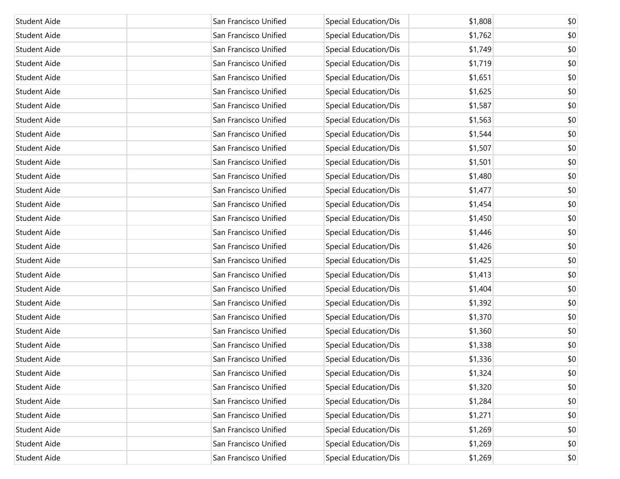| Student Aide        | San Francisco Unified | Special Education/Dis        | \$1,808 | \$0 |
|---------------------|-----------------------|------------------------------|---------|-----|
| <b>Student Aide</b> | San Francisco Unified | Special Education/Dis        | \$1,762 | \$0 |
| <b>Student Aide</b> | San Francisco Unified | Special Education/Dis        | \$1,749 | \$0 |
| <b>Student Aide</b> | San Francisco Unified | Special Education/Dis        | \$1,719 | \$0 |
| <b>Student Aide</b> | San Francisco Unified | Special Education/Dis        | \$1,651 | \$0 |
| <b>Student Aide</b> | San Francisco Unified | Special Education/Dis        | \$1,625 | \$0 |
| <b>Student Aide</b> | San Francisco Unified | Special Education/Dis        | \$1,587 | \$0 |
| <b>Student Aide</b> | San Francisco Unified | Special Education/Dis        | \$1,563 | \$0 |
| <b>Student Aide</b> | San Francisco Unified | Special Education/Dis        | \$1,544 | \$0 |
| <b>Student Aide</b> | San Francisco Unified | Special Education/Dis        | \$1,507 | \$0 |
| <b>Student Aide</b> | San Francisco Unified | Special Education/Dis        | \$1,501 | \$0 |
| Student Aide        | San Francisco Unified | Special Education/Dis        | \$1,480 | \$0 |
| <b>Student Aide</b> | San Francisco Unified | Special Education/Dis        | \$1,477 | \$0 |
| Student Aide        | San Francisco Unified | Special Education/Dis        | \$1,454 | \$0 |
| <b>Student Aide</b> | San Francisco Unified | Special Education/Dis        | \$1,450 | \$0 |
| Student Aide        | San Francisco Unified | Special Education/Dis        | \$1,446 | \$0 |
| <b>Student Aide</b> | San Francisco Unified | Special Education/Dis        | \$1,426 | \$0 |
| <b>Student Aide</b> | San Francisco Unified | Special Education/Dis        | \$1,425 | \$0 |
| <b>Student Aide</b> | San Francisco Unified | Special Education/Dis        | \$1,413 | \$0 |
| <b>Student Aide</b> | San Francisco Unified | Special Education/Dis        | \$1,404 | \$0 |
| <b>Student Aide</b> | San Francisco Unified | Special Education/Dis        | \$1,392 | \$0 |
| <b>Student Aide</b> | San Francisco Unified | <b>Special Education/Dis</b> | \$1,370 | \$0 |
| <b>Student Aide</b> | San Francisco Unified | Special Education/Dis        | \$1,360 | \$0 |
| <b>Student Aide</b> | San Francisco Unified | Special Education/Dis        | \$1,338 | \$0 |
| Student Aide        | San Francisco Unified | Special Education/Dis        | \$1,336 | \$0 |
| Student Aide        | San Francisco Unified | Special Education/Dis        | \$1,324 | \$0 |
| Student Aide        | San Francisco Unified | <b>Special Education/Dis</b> | \$1,320 | \$0 |
| Student Aide        | San Francisco Unified | Special Education/Dis        | \$1,284 | \$0 |
| Student Aide        | San Francisco Unified | Special Education/Dis        | \$1,271 | \$0 |
| Student Aide        | San Francisco Unified | Special Education/Dis        | \$1,269 | \$0 |
| Student Aide        | San Francisco Unified | Special Education/Dis        | \$1,269 | \$0 |
| Student Aide        | San Francisco Unified | <b>Special Education/Dis</b> | \$1,269 | \$0 |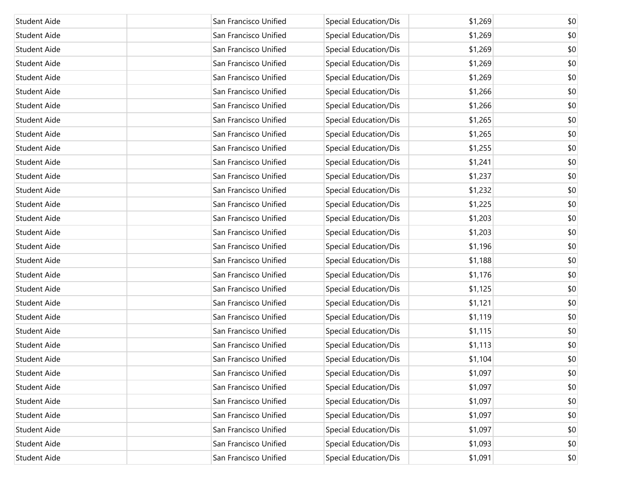| Student Aide        | San Francisco Unified | Special Education/Dis        | \$1,269 | \$0 |
|---------------------|-----------------------|------------------------------|---------|-----|
| <b>Student Aide</b> | San Francisco Unified | Special Education/Dis        | \$1,269 | \$0 |
| <b>Student Aide</b> | San Francisco Unified | Special Education/Dis        | \$1,269 | \$0 |
| Student Aide        | San Francisco Unified | Special Education/Dis        | \$1,269 | \$0 |
| <b>Student Aide</b> | San Francisco Unified | Special Education/Dis        | \$1,269 | \$0 |
| Student Aide        | San Francisco Unified | Special Education/Dis        | \$1,266 | \$0 |
| <b>Student Aide</b> | San Francisco Unified | Special Education/Dis        | \$1,266 | \$0 |
| Student Aide        | San Francisco Unified | Special Education/Dis        | \$1,265 | \$0 |
| Student Aide        | San Francisco Unified | Special Education/Dis        | \$1,265 | \$0 |
| Student Aide        | San Francisco Unified | Special Education/Dis        | \$1,255 | \$0 |
| <b>Student Aide</b> | San Francisco Unified | Special Education/Dis        | \$1,241 | \$0 |
| Student Aide        | San Francisco Unified | Special Education/Dis        | \$1,237 | \$0 |
| <b>Student Aide</b> | San Francisco Unified | Special Education/Dis        | \$1,232 | \$0 |
| Student Aide        | San Francisco Unified | Special Education/Dis        | \$1,225 | \$0 |
| <b>Student Aide</b> | San Francisco Unified | Special Education/Dis        | \$1,203 | \$0 |
| Student Aide        | San Francisco Unified | Special Education/Dis        | \$1,203 | \$0 |
| <b>Student Aide</b> | San Francisco Unified | Special Education/Dis        | \$1,196 | \$0 |
| Student Aide        | San Francisco Unified | Special Education/Dis        | \$1,188 | \$0 |
| <b>Student Aide</b> | San Francisco Unified | Special Education/Dis        | \$1,176 | \$0 |
| Student Aide        | San Francisco Unified | Special Education/Dis        | \$1,125 | \$0 |
| Student Aide        | San Francisco Unified | Special Education/Dis        | \$1,121 | \$0 |
| Student Aide        | San Francisco Unified | Special Education/Dis        | \$1,119 | \$0 |
| Student Aide        | San Francisco Unified | Special Education/Dis        | \$1,115 | \$0 |
| Student Aide        | San Francisco Unified | Special Education/Dis        | \$1,113 | \$0 |
| Student Aide        | San Francisco Unified | Special Education/Dis        | \$1,104 | \$0 |
| Student Aide        | San Francisco Unified | Special Education/Dis        | \$1,097 | \$0 |
| <b>Student Aide</b> | San Francisco Unified | <b>Special Education/Dis</b> | \$1,097 | \$0 |
| Student Aide        | San Francisco Unified | <b>Special Education/Dis</b> | \$1,097 | \$0 |
| Student Aide        | San Francisco Unified | <b>Special Education/Dis</b> | \$1,097 | \$0 |
| Student Aide        | San Francisco Unified | Special Education/Dis        | \$1,097 | \$0 |
| Student Aide        | San Francisco Unified | Special Education/Dis        | \$1,093 | \$0 |
| Student Aide        | San Francisco Unified | <b>Special Education/Dis</b> | \$1,091 | \$0 |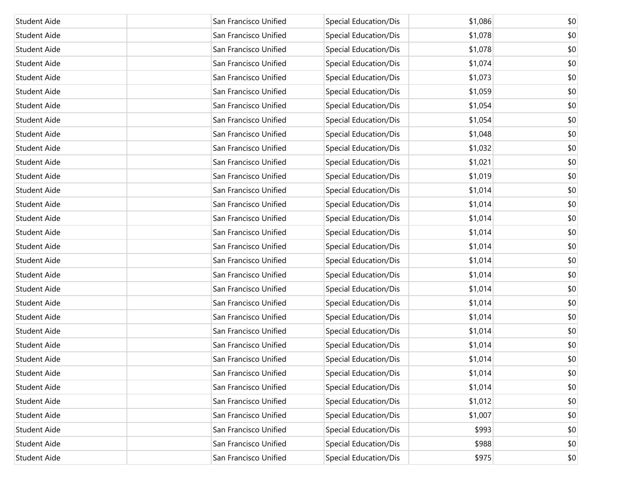| Student Aide        | San Francisco Unified | Special Education/Dis        | \$1,086 | \$0 |
|---------------------|-----------------------|------------------------------|---------|-----|
| <b>Student Aide</b> | San Francisco Unified | Special Education/Dis        | \$1,078 | \$0 |
| <b>Student Aide</b> | San Francisco Unified | Special Education/Dis        | \$1,078 | \$0 |
| <b>Student Aide</b> | San Francisco Unified | Special Education/Dis        | \$1,074 | \$0 |
| <b>Student Aide</b> | San Francisco Unified | Special Education/Dis        | \$1,073 | \$0 |
| <b>Student Aide</b> | San Francisco Unified | Special Education/Dis        | \$1,059 | \$0 |
| <b>Student Aide</b> | San Francisco Unified | Special Education/Dis        | \$1,054 | \$0 |
| <b>Student Aide</b> | San Francisco Unified | Special Education/Dis        | \$1,054 | \$0 |
| <b>Student Aide</b> | San Francisco Unified | Special Education/Dis        | \$1,048 | \$0 |
| <b>Student Aide</b> | San Francisco Unified | Special Education/Dis        | \$1,032 | \$0 |
| <b>Student Aide</b> | San Francisco Unified | Special Education/Dis        | \$1,021 | \$0 |
| Student Aide        | San Francisco Unified | Special Education/Dis        | \$1,019 | \$0 |
| <b>Student Aide</b> | San Francisco Unified | Special Education/Dis        | \$1,014 | \$0 |
| Student Aide        | San Francisco Unified | Special Education/Dis        | \$1,014 | \$0 |
| <b>Student Aide</b> | San Francisco Unified | Special Education/Dis        | \$1,014 | \$0 |
| Student Aide        | San Francisco Unified | Special Education/Dis        | \$1,014 | \$0 |
| <b>Student Aide</b> | San Francisco Unified | Special Education/Dis        | \$1,014 | \$0 |
| <b>Student Aide</b> | San Francisco Unified | Special Education/Dis        | \$1,014 | \$0 |
| <b>Student Aide</b> | San Francisco Unified | Special Education/Dis        | \$1,014 | \$0 |
| <b>Student Aide</b> | San Francisco Unified | Special Education/Dis        | \$1,014 | \$0 |
| <b>Student Aide</b> | San Francisco Unified | Special Education/Dis        | \$1,014 | \$0 |
| <b>Student Aide</b> | San Francisco Unified | Special Education/Dis        | \$1,014 | \$0 |
| <b>Student Aide</b> | San Francisco Unified | Special Education/Dis        | \$1,014 | \$0 |
| Student Aide        | San Francisco Unified | Special Education/Dis        | \$1,014 | \$0 |
| Student Aide        | San Francisco Unified | Special Education/Dis        | \$1,014 | \$0 |
| Student Aide        | San Francisco Unified | Special Education/Dis        | \$1,014 | \$0 |
| Student Aide        | San Francisco Unified | Special Education/Dis        | \$1,014 | \$0 |
| Student Aide        | San Francisco Unified | Special Education/Dis        | \$1,012 | \$0 |
| Student Aide        | San Francisco Unified | <b>Special Education/Dis</b> | \$1,007 | \$0 |
| Student Aide        | San Francisco Unified | Special Education/Dis        | \$993   | \$0 |
| Student Aide        | San Francisco Unified | <b>Special Education/Dis</b> | \$988   | \$0 |
| Student Aide        | San Francisco Unified | <b>Special Education/Dis</b> | \$975   | \$0 |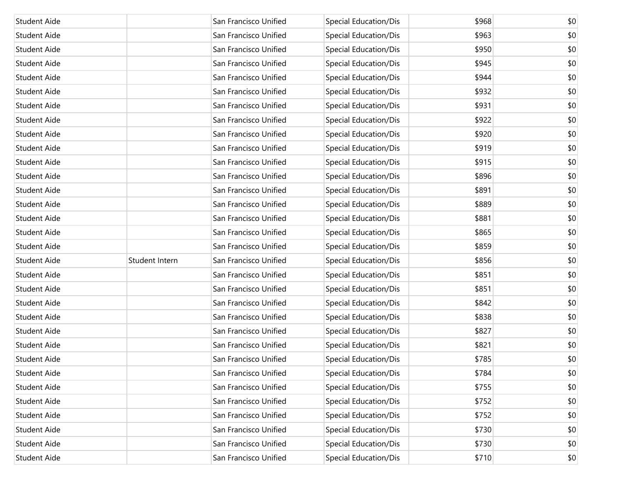| Student Aide        |                | San Francisco Unified | Special Education/Dis        | \$968 | \$0 |
|---------------------|----------------|-----------------------|------------------------------|-------|-----|
| Student Aide        |                | San Francisco Unified | Special Education/Dis        | \$963 | \$0 |
| Student Aide        |                | San Francisco Unified | Special Education/Dis        | \$950 | \$0 |
| Student Aide        |                | San Francisco Unified | Special Education/Dis        | \$945 | \$0 |
| Student Aide        |                | San Francisco Unified | Special Education/Dis        | \$944 | \$0 |
| Student Aide        |                | San Francisco Unified | Special Education/Dis        | \$932 | \$0 |
| Student Aide        |                | San Francisco Unified | Special Education/Dis        | \$931 | \$0 |
| Student Aide        |                | San Francisco Unified | Special Education/Dis        | \$922 | \$0 |
| Student Aide        |                | San Francisco Unified | Special Education/Dis        | \$920 | \$0 |
| Student Aide        |                | San Francisco Unified | Special Education/Dis        | \$919 | \$0 |
| Student Aide        |                | San Francisco Unified | Special Education/Dis        | \$915 | \$0 |
| Student Aide        |                | San Francisco Unified | Special Education/Dis        | \$896 | \$0 |
| Student Aide        |                | San Francisco Unified | Special Education/Dis        | \$891 | \$0 |
| Student Aide        |                | San Francisco Unified | Special Education/Dis        | \$889 | \$0 |
| Student Aide        |                | San Francisco Unified | Special Education/Dis        | \$881 | \$0 |
| Student Aide        |                | San Francisco Unified | Special Education/Dis        | \$865 | \$0 |
| Student Aide        |                | San Francisco Unified | Special Education/Dis        | \$859 | \$0 |
| Student Aide        | Student Intern | San Francisco Unified | Special Education/Dis        | \$856 | \$0 |
| Student Aide        |                | San Francisco Unified | Special Education/Dis        | \$851 | \$0 |
| Student Aide        |                | San Francisco Unified | Special Education/Dis        | \$851 | \$0 |
| Student Aide        |                | San Francisco Unified | Special Education/Dis        | \$842 | \$0 |
| Student Aide        |                | San Francisco Unified | Special Education/Dis        | \$838 | \$0 |
| Student Aide        |                | San Francisco Unified | Special Education/Dis        | \$827 | \$0 |
| Student Aide        |                | San Francisco Unified | Special Education/Dis        | \$821 | \$0 |
| <b>Student Aide</b> |                | San Francisco Unified | Special Education/Dis        | \$785 | \$0 |
| Student Aide        |                | San Francisco Unified | Special Education/Dis        | \$784 | \$0 |
| Student Aide        |                | San Francisco Unified | Special Education/Dis        | \$755 | \$0 |
| Student Aide        |                | San Francisco Unified | <b>Special Education/Dis</b> | \$752 | \$0 |
| Student Aide        |                | San Francisco Unified | Special Education/Dis        | \$752 | \$0 |
| Student Aide        |                | San Francisco Unified | Special Education/Dis        | \$730 | \$0 |
| Student Aide        |                | San Francisco Unified | Special Education/Dis        | \$730 | \$0 |
| Student Aide        |                | San Francisco Unified | <b>Special Education/Dis</b> | \$710 | \$0 |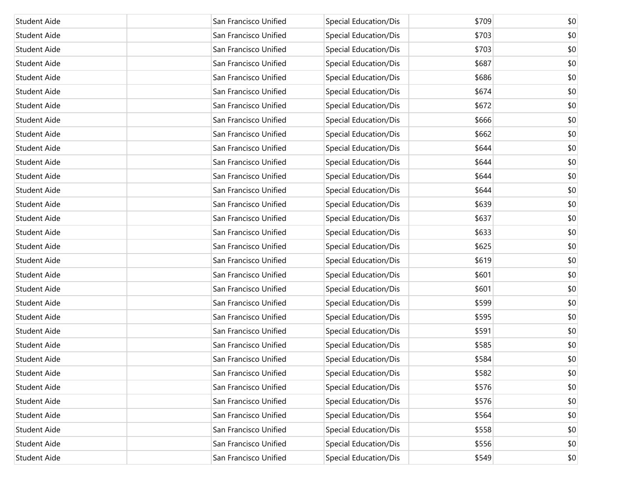| Student Aide        | San Francisco Unified | Special Education/Dis        | \$709 | \$0 |
|---------------------|-----------------------|------------------------------|-------|-----|
| <b>Student Aide</b> | San Francisco Unified | Special Education/Dis        | \$703 | \$0 |
| <b>Student Aide</b> | San Francisco Unified | Special Education/Dis        | \$703 | \$0 |
| <b>Student Aide</b> | San Francisco Unified | Special Education/Dis        | \$687 | \$0 |
| <b>Student Aide</b> | San Francisco Unified | Special Education/Dis        | \$686 | \$0 |
| <b>Student Aide</b> | San Francisco Unified | Special Education/Dis        | \$674 | \$0 |
| <b>Student Aide</b> | San Francisco Unified | Special Education/Dis        | \$672 | \$0 |
| <b>Student Aide</b> | San Francisco Unified | <b>Special Education/Dis</b> | \$666 | \$0 |
| <b>Student Aide</b> | San Francisco Unified | Special Education/Dis        | \$662 | \$0 |
| <b>Student Aide</b> | San Francisco Unified | Special Education/Dis        | \$644 | \$0 |
| <b>Student Aide</b> | San Francisco Unified | Special Education/Dis        | \$644 | \$0 |
| Student Aide        | San Francisco Unified | Special Education/Dis        | \$644 | \$0 |
| <b>Student Aide</b> | San Francisco Unified | Special Education/Dis        | \$644 | \$0 |
| Student Aide        | San Francisco Unified | Special Education/Dis        | \$639 | \$0 |
| <b>Student Aide</b> | San Francisco Unified | Special Education/Dis        | \$637 | \$0 |
| <b>Student Aide</b> | San Francisco Unified | Special Education/Dis        | \$633 | \$0 |
| <b>Student Aide</b> | San Francisco Unified | Special Education/Dis        | \$625 | \$0 |
| <b>Student Aide</b> | San Francisco Unified | Special Education/Dis        | \$619 | \$0 |
| <b>Student Aide</b> | San Francisco Unified | Special Education/Dis        | \$601 | \$0 |
| <b>Student Aide</b> | San Francisco Unified | Special Education/Dis        | \$601 | \$0 |
| <b>Student Aide</b> | San Francisco Unified | Special Education/Dis        | \$599 | \$0 |
| <b>Student Aide</b> | San Francisco Unified | Special Education/Dis        | \$595 | \$0 |
| <b>Student Aide</b> | San Francisco Unified | Special Education/Dis        | \$591 | \$0 |
| Student Aide        | San Francisco Unified | Special Education/Dis        | \$585 | \$0 |
| Student Aide        | San Francisco Unified | Special Education/Dis        | \$584 | \$0 |
| Student Aide        | San Francisco Unified | Special Education/Dis        | \$582 | \$0 |
| Student Aide        | San Francisco Unified | Special Education/Dis        | \$576 | \$0 |
| Student Aide        | San Francisco Unified | Special Education/Dis        | \$576 | \$0 |
| Student Aide        | San Francisco Unified | Special Education/Dis        | \$564 | \$0 |
| Student Aide        | San Francisco Unified | Special Education/Dis        | \$558 | \$0 |
| Student Aide        | San Francisco Unified | <b>Special Education/Dis</b> | \$556 | \$0 |
| Student Aide        | San Francisco Unified | <b>Special Education/Dis</b> | \$549 | \$0 |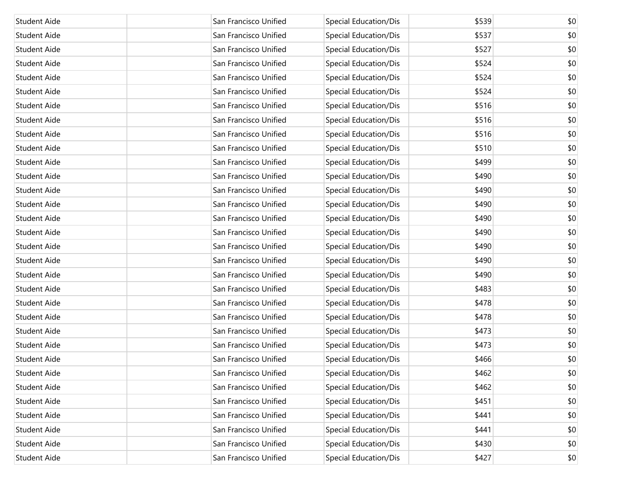| Student Aide        | San Francisco Unified | Special Education/Dis        | \$539 | \$0 |
|---------------------|-----------------------|------------------------------|-------|-----|
| Student Aide        | San Francisco Unified | Special Education/Dis        | \$537 | \$0 |
| Student Aide        | San Francisco Unified | Special Education/Dis        | \$527 | \$0 |
| Student Aide        | San Francisco Unified | Special Education/Dis        | \$524 | \$0 |
| Student Aide        | San Francisco Unified | Special Education/Dis        | \$524 | \$0 |
| Student Aide        | San Francisco Unified | Special Education/Dis        | \$524 | \$0 |
| Student Aide        | San Francisco Unified | <b>Special Education/Dis</b> | \$516 | \$0 |
| Student Aide        | San Francisco Unified | Special Education/Dis        | \$516 | \$0 |
| Student Aide        | San Francisco Unified | Special Education/Dis        | \$516 | \$0 |
| Student Aide        | San Francisco Unified | Special Education/Dis        | \$510 | \$0 |
| Student Aide        | San Francisco Unified | Special Education/Dis        | \$499 | \$0 |
| Student Aide        | San Francisco Unified | Special Education/Dis        | \$490 | \$0 |
| Student Aide        | San Francisco Unified | Special Education/Dis        | \$490 | \$0 |
| Student Aide        | San Francisco Unified | Special Education/Dis        | \$490 | \$0 |
| Student Aide        | San Francisco Unified | <b>Special Education/Dis</b> | \$490 | \$0 |
| Student Aide        | San Francisco Unified | <b>Special Education/Dis</b> | \$490 | \$0 |
| Student Aide        | San Francisco Unified | Special Education/Dis        | \$490 | \$0 |
| Student Aide        | San Francisco Unified | Special Education/Dis        | \$490 | \$0 |
| Student Aide        | San Francisco Unified | Special Education/Dis        | \$490 | \$0 |
| Student Aide        | San Francisco Unified | Special Education/Dis        | \$483 | \$0 |
| Student Aide        | San Francisco Unified | Special Education/Dis        | \$478 | \$0 |
| Student Aide        | San Francisco Unified | Special Education/Dis        | \$478 | \$0 |
| Student Aide        | San Francisco Unified | Special Education/Dis        | \$473 | \$0 |
| Student Aide        | San Francisco Unified | Special Education/Dis        | \$473 | \$0 |
| <b>Student Aide</b> | San Francisco Unified | Special Education/Dis        | \$466 | \$0 |
| Student Aide        | San Francisco Unified | Special Education/Dis        | \$462 | \$0 |
| Student Aide        | San Francisco Unified | Special Education/Dis        | \$462 | \$0 |
| Student Aide        | San Francisco Unified | Special Education/Dis        | \$451 | \$0 |
| Student Aide        | San Francisco Unified | <b>Special Education/Dis</b> | \$441 | \$0 |
| <b>Student Aide</b> | San Francisco Unified | Special Education/Dis        | \$441 | \$0 |
| <b>Student Aide</b> | San Francisco Unified | Special Education/Dis        | \$430 | \$0 |
| <b>Student Aide</b> | San Francisco Unified | <b>Special Education/Dis</b> | \$427 | \$0 |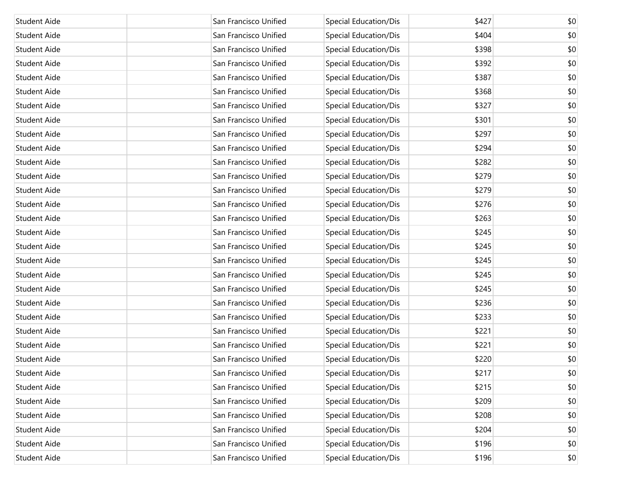| Student Aide        | San Francisco Unified | Special Education/Dis        | \$427 | \$0 |
|---------------------|-----------------------|------------------------------|-------|-----|
| Student Aide        | San Francisco Unified | Special Education/Dis        | \$404 | \$0 |
| Student Aide        | San Francisco Unified | Special Education/Dis        | \$398 | \$0 |
| Student Aide        | San Francisco Unified | Special Education/Dis        | \$392 | \$0 |
| Student Aide        | San Francisco Unified | Special Education/Dis        | \$387 | \$0 |
| Student Aide        | San Francisco Unified | Special Education/Dis        | \$368 | \$0 |
| Student Aide        | San Francisco Unified | <b>Special Education/Dis</b> | \$327 | \$0 |
| Student Aide        | San Francisco Unified | Special Education/Dis        | \$301 | \$0 |
| Student Aide        | San Francisco Unified | Special Education/Dis        | \$297 | \$0 |
| Student Aide        | San Francisco Unified | Special Education/Dis        | \$294 | \$0 |
| Student Aide        | San Francisco Unified | Special Education/Dis        | \$282 | \$0 |
| Student Aide        | San Francisco Unified | Special Education/Dis        | \$279 | \$0 |
| Student Aide        | San Francisco Unified | Special Education/Dis        | \$279 | \$0 |
| Student Aide        | San Francisco Unified | Special Education/Dis        | \$276 | \$0 |
| Student Aide        | San Francisco Unified | <b>Special Education/Dis</b> | \$263 | \$0 |
| Student Aide        | San Francisco Unified | <b>Special Education/Dis</b> | \$245 | \$0 |
| Student Aide        | San Francisco Unified | Special Education/Dis        | \$245 | \$0 |
| Student Aide        | San Francisco Unified | Special Education/Dis        | \$245 | \$0 |
| Student Aide        | San Francisco Unified | Special Education/Dis        | \$245 | \$0 |
| Student Aide        | San Francisco Unified | Special Education/Dis        | \$245 | \$0 |
| Student Aide        | San Francisco Unified | Special Education/Dis        | \$236 | \$0 |
| Student Aide        | San Francisco Unified | Special Education/Dis        | \$233 | \$0 |
| Student Aide        | San Francisco Unified | Special Education/Dis        | \$221 | \$0 |
| Student Aide        | San Francisco Unified | Special Education/Dis        | \$221 | \$0 |
| <b>Student Aide</b> | San Francisco Unified | Special Education/Dis        | \$220 | \$0 |
| Student Aide        | San Francisco Unified | Special Education/Dis        | \$217 | \$0 |
| Student Aide        | San Francisco Unified | Special Education/Dis        | \$215 | \$0 |
| Student Aide        | San Francisco Unified | Special Education/Dis        | \$209 | \$0 |
| Student Aide        | San Francisco Unified | Special Education/Dis        | \$208 | \$0 |
| Student Aide        | San Francisco Unified | <b>Special Education/Dis</b> | \$204 | \$0 |
| Student Aide        | San Francisco Unified | Special Education/Dis        | \$196 | \$0 |
| Student Aide        | San Francisco Unified | <b>Special Education/Dis</b> | \$196 | \$0 |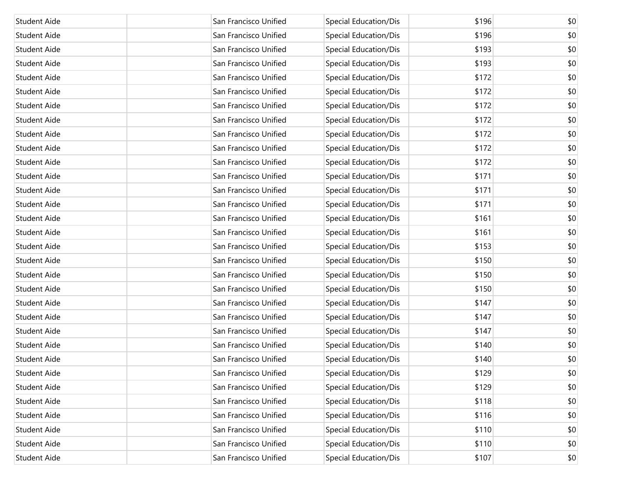| Student Aide        | San Francisco Unified | Special Education/Dis        | \$196 | \$0 |
|---------------------|-----------------------|------------------------------|-------|-----|
| Student Aide        | San Francisco Unified | Special Education/Dis        | \$196 | \$0 |
| Student Aide        | San Francisco Unified | Special Education/Dis        | \$193 | \$0 |
| Student Aide        | San Francisco Unified | Special Education/Dis        | \$193 | \$0 |
| Student Aide        | San Francisco Unified | Special Education/Dis        | \$172 | \$0 |
| Student Aide        | San Francisco Unified | Special Education/Dis        | \$172 | \$0 |
| Student Aide        | San Francisco Unified | <b>Special Education/Dis</b> | \$172 | \$0 |
| Student Aide        | San Francisco Unified | Special Education/Dis        | \$172 | \$0 |
| Student Aide        | San Francisco Unified | Special Education/Dis        | \$172 | \$0 |
| Student Aide        | San Francisco Unified | Special Education/Dis        | \$172 | \$0 |
| Student Aide        | San Francisco Unified | Special Education/Dis        | \$172 | \$0 |
| Student Aide        | San Francisco Unified | Special Education/Dis        | \$171 | \$0 |
| Student Aide        | San Francisco Unified | Special Education/Dis        | \$171 | \$0 |
| Student Aide        | San Francisco Unified | Special Education/Dis        | \$171 | \$0 |
| Student Aide        | San Francisco Unified | Special Education/Dis        | \$161 | \$0 |
| Student Aide        | San Francisco Unified | Special Education/Dis        | \$161 | \$0 |
| Student Aide        | San Francisco Unified | Special Education/Dis        | \$153 | \$0 |
| Student Aide        | San Francisco Unified | Special Education/Dis        | \$150 | \$0 |
| Student Aide        | San Francisco Unified | Special Education/Dis        | \$150 | \$0 |
| Student Aide        | San Francisco Unified | Special Education/Dis        | \$150 | \$0 |
| Student Aide        | San Francisco Unified | Special Education/Dis        | \$147 | \$0 |
| Student Aide        | San Francisco Unified | Special Education/Dis        | \$147 | \$0 |
| Student Aide        | San Francisco Unified | Special Education/Dis        | \$147 | \$0 |
| Student Aide        | San Francisco Unified | Special Education/Dis        | \$140 | \$0 |
| <b>Student Aide</b> | San Francisco Unified | Special Education/Dis        | \$140 | \$0 |
| Student Aide        | San Francisco Unified | Special Education/Dis        | \$129 | \$0 |
| Student Aide        | San Francisco Unified | Special Education/Dis        | \$129 | \$0 |
| Student Aide        | San Francisco Unified | Special Education/Dis        | \$118 | \$0 |
| Student Aide        | San Francisco Unified | Special Education/Dis        | \$116 | \$0 |
| Student Aide        | San Francisco Unified | Special Education/Dis        | \$110 | \$0 |
| Student Aide        | San Francisco Unified | Special Education/Dis        | \$110 | \$0 |
| <b>Student Aide</b> | San Francisco Unified | <b>Special Education/Dis</b> | \$107 | \$0 |